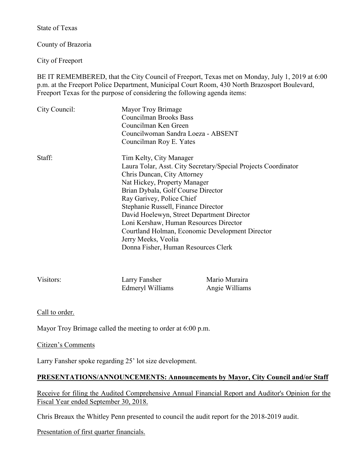State of Texas

County of Brazoria

City of Freeport

BE IT REMEMBERED, that the City Council of Freeport, Texas met on Monday, July 1, 2019 at 6:00 p.m. at the Freeport Police Department, Municipal Court Room, 430 North Brazosport Boulevard, Freeport Texas for the purpose of considering the following agenda items:

| City Council: | Mayor Troy Brimage<br>Councilman Brooks Bass<br>Councilman Ken Green<br>Councilwoman Sandra Loeza - ABSENT<br>Councilman Roy E. Yates                                                                                                                                                                                                                                                                                                                                       |
|---------------|-----------------------------------------------------------------------------------------------------------------------------------------------------------------------------------------------------------------------------------------------------------------------------------------------------------------------------------------------------------------------------------------------------------------------------------------------------------------------------|
| Staff:        | Tim Kelty, City Manager<br>Laura Tolar, Asst. City Secretary/Special Projects Coordinator<br>Chris Duncan, City Attorney<br>Nat Hickey, Property Manager<br>Brian Dybala, Golf Course Director<br>Ray Garivey, Police Chief<br>Stephanie Russell, Finance Director<br>David Hoelewyn, Street Department Director<br>Loni Kershaw, Human Resources Director<br>Courtland Holman, Economic Development Director<br>Jerry Meeks, Veolia<br>Donna Fisher, Human Resources Clerk |

| Visitors: | Larry Fansher    | Mario Muraira  |
|-----------|------------------|----------------|
|           | Edmeryl Williams | Angie Williams |

Call to order.

Mayor Troy Brimage called the meeting to order at 6:00 p.m.

Citizen's Comments

Larry Fansher spoke regarding 25' lot size development.

### **PRESENTATIONS/ANNOUNCEMENTS: Announcements by Mayor, City Council and/or Staff**

Receive for filing the Audited Comprehensive Annual Financial Report and Auditor's Opinion for the Fiscal Year ended September 30, 2018.

Chris Breaux the Whitley Penn presented to council the audit report for the 2018-2019 audit.

Presentation of first quarter financials.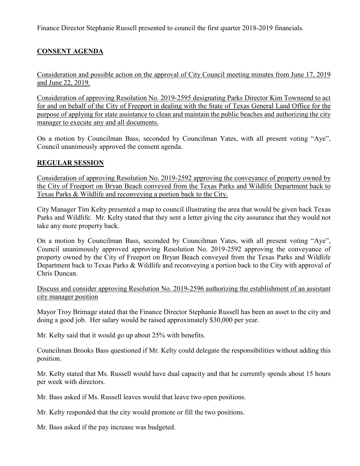Finance Director Stephanie Russell presented to council the first quarter 2018-2019 financials.

# **CONSENT AGENDA**

Consideration and possible action on the approval of City Council meeting minutes from June 17, 2019 and June 22, 2019.

Consideration of approving Resolution No. 2019-2595 designating Parks Director Kim Townsend to act for and on behalf of the City of Freeport in dealing with the State of Texas General Land Office for the purpose of applying for state assistance to clean and maintain the public beaches and authorizing the city manager to execute any and all documents.

On a motion by Councilman Bass, seconded by Councilman Yates, with all present voting "Aye", Council unanimously approved the consent agenda.

#### **REGULAR SESSION**

Consideration of approving Resolution No. 2019-2592 approving the conveyance of property owned by the City of Freeport on Bryan Beach conveyed from the Texas Parks and Wildlife Department back to Texas Parks & Wildlife and reconveying a portion back to the City.

City Manager Tim Kelty presented a map to council illustrating the area that would be given back Texas Parks and Wildlife. Mr. Kelty stated that they sent a letter giving the city assurance that they would not take any more property back.

On a motion by Councilman Bass, seconded by Councilman Yates, with all present voting "Aye", Council unanimously approved approving Resolution No. 2019-2592 approving the conveyance of property owned by the City of Freeport on Bryan Beach conveyed from the Texas Parks and Wildlife Department back to Texas Parks & Wildlife and reconveying a portion back to the City with approval of Chris Duncan.

Discuss and consider approving Resolution No. 2019-2596 authorizing the establishment of an assistant city manager position

Mayor Troy Brimage stated that the Finance Director Stephanie Russell has been an asset to the city and doing a good job. Her salary would be raised approximately \$30,000 per year.

Mr. Kelty said that it would go up about 25% with benefits.

Councilman Brooks Bass questioned if Mr. Kelty could delegate the responsibilities without adding this position.

Mr. Kelty stated that Ms. Russell would have dual capacity and that he currently spends about 15 hours per week with directors.

Mr. Bass asked if Ms. Russell leaves would that leave two open positions.

Mr. Kelty responded that the city would promote or fill the two positions.

Mr. Bass asked if the pay increase was budgeted.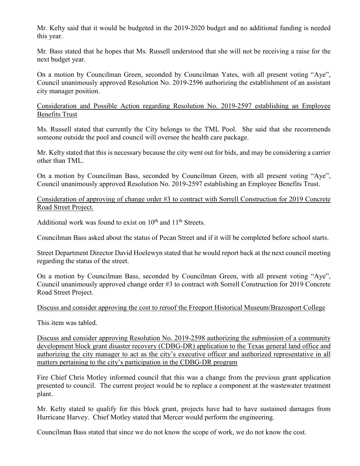Mr. Kelty said that it would be budgeted in the 2019-2020 budget and no additional funding is needed this year.

Mr. Bass stated that he hopes that Ms. Russell understood that she will not be receiving a raise for the next budget year.

On a motion by Councilman Green, seconded by Councilman Yates, with all present voting "Aye", Council unanimously approved Resolution No. 2019-2596 authorizing the establishment of an assistant city manager position.

Consideration and Possible Action regarding Resolution No. 2019-2597 establishing an Employee Benefits Trust

Ms. Russell stated that currently the City belongs to the TML Pool. She said that she recommends someone outside the pool and council will oversee the health care package.

Mr. Kelty stated that this is necessary because the city went out for bids, and may be considering a carrier other than TML.

On a motion by Councilman Bass, seconded by Councilman Green, with all present voting "Aye", Council unanimously approved Resolution No. 2019-2597 establishing an Employee Benefits Trust.

Consideration of approving of change order #3 to contract with Sorrell Construction for 2019 Concrete Road Street Project.

Additional work was found to exist on  $10^{th}$  and  $11^{th}$  Streets.

Councilman Bass asked about the status of Pecan Street and if it will be completed before school starts.

Street Department Director David Hoelewyn stated that he would report back at the next council meeting regarding the status of the street.

On a motion by Councilman Bass, seconded by Councilman Green, with all present voting "Aye", Council unanimously approved change order #3 to contract with Sorrell Construction for 2019 Concrete Road Street Project.

Discuss and consider approving the cost to reroof the Freeport Historical Museum/Brazosport College

This item was tabled.

Discuss and consider approving Resolution No. 2019-2598 authorizing the submission of a community development block grant disaster recovery (CDBG-DR) application to the Texas general land office and authorizing the city manager to act as the city's executive officer and authorized representative in all matters pertaining to the city's participation in the CDBG-DR program

Fire Chief Chris Motley informed council that this was a change from the previous grant application presented to council. The current project would be to replace a component at the wastewater treatment plant.

Mr. Kelty stated to qualify for this block grant, projects have had to have sustained damages from Hurricane Harvey. Chief Motley stated that Mercer would perform the engineering.

Councilman Bass stated that since we do not know the scope of work, we do not know the cost.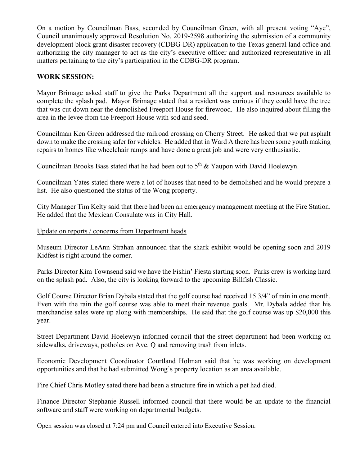On a motion by Councilman Bass, seconded by Councilman Green, with all present voting "Aye", Council unanimously approved Resolution No. 2019-2598 authorizing the submission of a community development block grant disaster recovery (CDBG-DR) application to the Texas general land office and authorizing the city manager to act as the city's executive officer and authorized representative in all matters pertaining to the city's participation in the CDBG-DR program.

#### **WORK SESSION:**

Mayor Brimage asked staff to give the Parks Department all the support and resources available to complete the splash pad. Mayor Brimage stated that a resident was curious if they could have the tree that was cut down near the demolished Freeport House for firewood. He also inquired about filling the area in the levee from the Freeport House with sod and seed.

Councilman Ken Green addressed the railroad crossing on Cherry Street. He asked that we put asphalt down to make the crossing safer for vehicles. He added that in Ward A there has been some youth making repairs to homes like wheelchair ramps and have done a great job and were very enthusiastic.

Councilman Brooks Bass stated that he had been out to  $5<sup>th</sup>$  & Yaupon with David Hoelewyn.

Councilman Yates stated there were a lot of houses that need to be demolished and he would prepare a list. He also questioned the status of the Wong property.

City Manager Tim Kelty said that there had been an emergency management meeting at the Fire Station. He added that the Mexican Consulate was in City Hall.

#### Update on reports / concerns from Department heads

Museum Director LeAnn Strahan announced that the shark exhibit would be opening soon and 2019 Kidfest is right around the corner.

Parks Director Kim Townsend said we have the Fishin' Fiesta starting soon. Parks crew is working hard on the splash pad. Also, the city is looking forward to the upcoming Billfish Classic.

Golf Course Director Brian Dybala stated that the golf course had received 15 3/4" of rain in one month. Even with the rain the golf course was able to meet their revenue goals. Mr. Dybala added that his merchandise sales were up along with memberships. He said that the golf course was up \$20,000 this year.

Street Department David Hoelewyn informed council that the street department had been working on sidewalks, driveways, potholes on Ave. Q and removing trash from inlets.

Economic Development Coordinator Courtland Holman said that he was working on development opportunities and that he had submitted Wong's property location as an area available.

Fire Chief Chris Motley sated there had been a structure fire in which a pet had died.

Finance Director Stephanie Russell informed council that there would be an update to the financial software and staff were working on departmental budgets.

Open session was closed at 7:24 pm and Council entered into Executive Session.